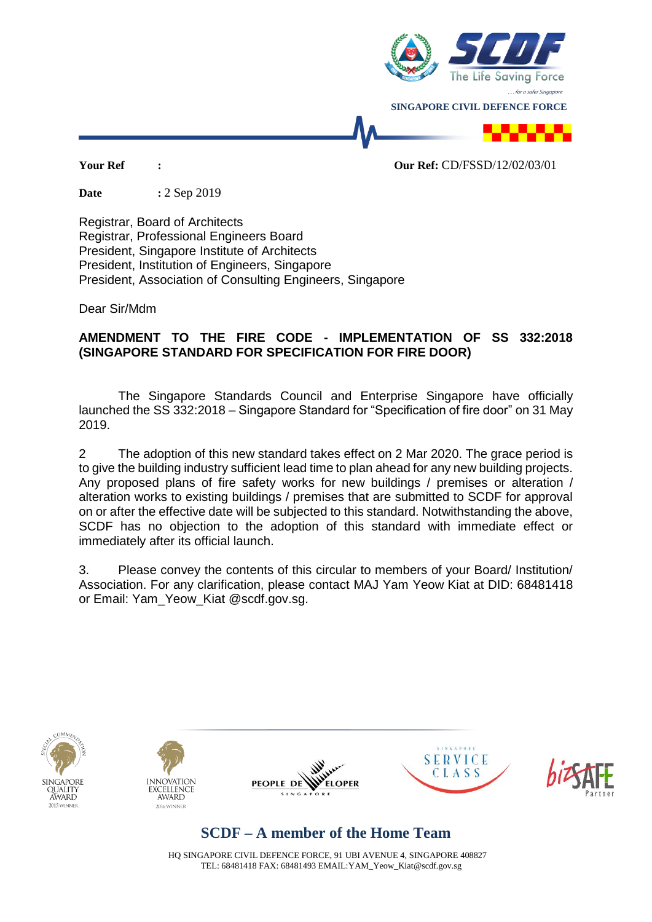

**Date :** 2 Sep 2019

Registrar, Board of Architects Registrar, Professional Engineers Board President, Singapore Institute of Architects President, Institution of Engineers, Singapore President, Association of Consulting Engineers, Singapore

Dear Sir/Mdm

## **AMENDMENT TO THE FIRE CODE - IMPLEMENTATION OF SS 332:2018 (SINGAPORE STANDARD FOR SPECIFICATION FOR FIRE DOOR)**

The Singapore Standards Council and Enterprise Singapore have officially launched the SS 332:2018 – Singapore Standard for "Specification of fire door" on 31 May 2019.

2 The adoption of this new standard takes effect on 2 Mar 2020. The grace period is to give the building industry sufficient lead time to plan ahead for any new building projects. Any proposed plans of fire safety works for new buildings / premises or alteration / alteration works to existing buildings / premises that are submitted to SCDF for approval on or after the effective date will be subjected to this standard. Notwithstanding the above, SCDF has no objection to the adoption of this standard with immediate effect or immediately after its official launch.

3. Please convey the contents of this circular to members of your Board/ Institution/ Association. For any clarification, please contact MAJ Yam Yeow Kiat at DID: 68481418 or Email: Yam\_Yeow\_Kiat @scdf.gov.sg.











## **SCDF – A member of the Home Team**

HQ SINGAPORE CIVIL DEFENCE FORCE, 91 UBI AVENUE 4, SINGAPORE 408827 TEL: 68481418 FAX: 68481493 EMAIL:YAM\_Yeow\_Kiat@scdf.gov.sg